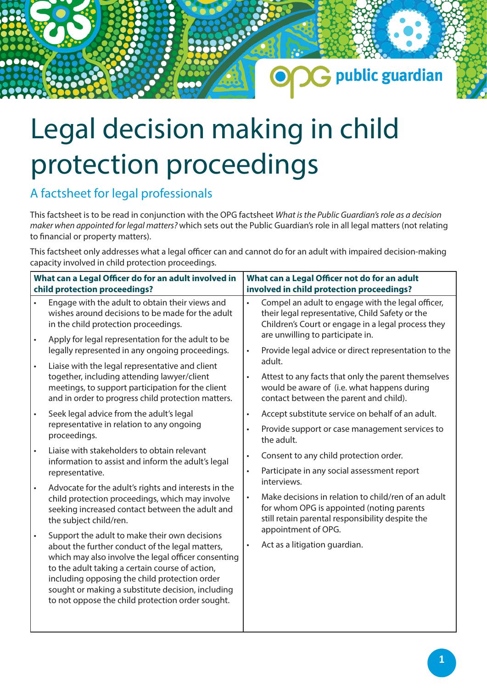## Legal decision making in child protection proceedings

## A factsheet for legal professionals

**000a** 

This factsheet is to be read in conjunction with the OPG factsheet *What is the Public Guardian's role as a decision maker when appointed for legal matters?* which sets out the Public Guardian's role in all legal matters (not relating to financial or property matters).

G public guardian

This factsheet only addresses what a legal officer can and cannot do for an adult with impaired decision-making capacity involved in child protection proceedings.

| What can a Legal Officer do for an adult involved in<br>child protection proceedings? |                                                                                                                                                                                                                                                                                                                                                                      | What can a Legal Officer not do for an adult<br>involved in child protection proceedings? |                                                                                                                                                                     |
|---------------------------------------------------------------------------------------|----------------------------------------------------------------------------------------------------------------------------------------------------------------------------------------------------------------------------------------------------------------------------------------------------------------------------------------------------------------------|-------------------------------------------------------------------------------------------|---------------------------------------------------------------------------------------------------------------------------------------------------------------------|
| $\bullet$                                                                             | Engage with the adult to obtain their views and<br>wishes around decisions to be made for the adult<br>in the child protection proceedings.                                                                                                                                                                                                                          | $\bullet$                                                                                 | Compel an adult to engage with the legal officer,<br>their legal representative, Child Safety or the<br>Children's Court or engage in a legal process they          |
| $\bullet$                                                                             | Apply for legal representation for the adult to be<br>legally represented in any ongoing proceedings.                                                                                                                                                                                                                                                                | $\bullet$                                                                                 | are unwilling to participate in.<br>Provide legal advice or direct representation to the                                                                            |
| $\bullet$                                                                             | Liaise with the legal representative and client<br>together, including attending lawyer/client<br>meetings, to support participation for the client<br>and in order to progress child protection matters.                                                                                                                                                            | $\bullet$                                                                                 | adult.<br>Attest to any facts that only the parent themselves<br>would be aware of (i.e. what happens during<br>contact between the parent and child).              |
| $\bullet$                                                                             | Seek legal advice from the adult's legal<br>representative in relation to any ongoing<br>proceedings.                                                                                                                                                                                                                                                                | $\bullet$<br>$\bullet$                                                                    | Accept substitute service on behalf of an adult.<br>Provide support or case management services to<br>the adult.                                                    |
|                                                                                       | Liaise with stakeholders to obtain relevant<br>information to assist and inform the adult's legal<br>representative.                                                                                                                                                                                                                                                 | $\bullet$<br>$\bullet$                                                                    | Consent to any child protection order.<br>Participate in any social assessment report                                                                               |
| $\bullet$                                                                             | Advocate for the adult's rights and interests in the<br>child protection proceedings, which may involve<br>seeking increased contact between the adult and<br>the subject child/ren.                                                                                                                                                                                 | $\bullet$                                                                                 | interviews.<br>Make decisions in relation to child/ren of an adult<br>for whom OPG is appointed (noting parents<br>still retain parental responsibility despite the |
| $\bullet$                                                                             | Support the adult to make their own decisions<br>about the further conduct of the legal matters,<br>which may also involve the legal officer consenting<br>to the adult taking a certain course of action,<br>including opposing the child protection order<br>sought or making a substitute decision, including<br>to not oppose the child protection order sought. | $\bullet$                                                                                 | appointment of OPG.<br>Act as a litigation guardian.                                                                                                                |